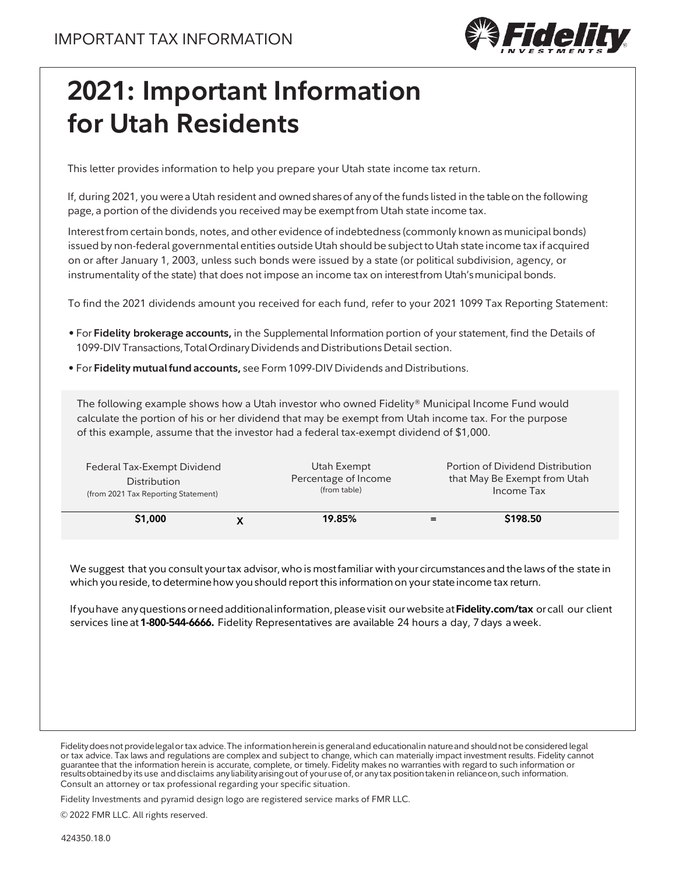

## **2021: Important Information for Utah Residents**

This letter provides information to help you prepare your Utah state income tax return.

If, during 2021, you werea Utah resident and ownedsharesof anyof the funds listed in the tableon the following page, a portion of the dividends you received may be exemptfrom Utah state income tax.

Interestfrom certain bonds, notes, and other evidence of indebtedness (commonly known asmunicipal bonds) issued by non-federal governmental entities outside Utah should be subjectto Utah state income tax if acquired on or after January 1, 2003, unless such bonds were issued by a state (or political subdivision, agency, or instrumentality of the state) that does not impose an income tax on interest from Utah's municipal bonds.

To find the 2021 dividends amount you received for each fund, refer to your 2021 1099 Tax Reporting Statement:

- For **Fidelity brokerage accounts,** in the Supplemental Information portion of your statement, find the Details of 1099-DIV Transactions,TotalOrdinaryDividends andDistributionsDetail section.
- For **Fidelity mutualfundaccounts,** see Form 1099-DIV Dividends and Distributions.

The following example shows how a Utah investor who owned Fidelity® Municipal Income Fund would calculate the portion of his or her dividend that may be exempt from Utah income tax. For the purpose of this example, assume that the investor had a federal tax-exempt dividend of \$1,000.

| Federal Tax-Exempt Dividend<br><b>Distribution</b><br>(from 2021 Tax Reporting Statement) | Utah Exempt<br>Percentage of Income<br>(from table) | Portion of Dividend Distribution<br>that May Be Exempt from Utah<br>Income Tax |
|-------------------------------------------------------------------------------------------|-----------------------------------------------------|--------------------------------------------------------------------------------|
| \$1,000                                                                                   | 19.85%                                              | \$198.50                                                                       |

We suggest that you consult your tax advisor, who is most familiar with your circumstances and the laws of the state in which you reside, to determine how you should report this information on your state income tax return.

If youhave anyquestionsorneedadditionalinformation,pleasevisit ourwebsiteat**Fidelity.com/tax** or call our client services lineat **1-800-544-6666.** Fidelity Representatives are available 24 hours a day, 7days aweek.

Fidelity Investments and pyramid design logo are registered service marks of FMR LLC.

© 2022 FMR LLC. All rights reserved.

Fidelity does not provide legal or tax advice. The information herein is general and educationalin nature and should not be considered legal or tax advice. Tax laws and regulations are complex and subject to change, which can materially impact investment results. Fidelity cannot guarantee that the information herein is accurate, complete, or timely. Fidelity makes no warranties with regard to such information or results obtained by its use and disclaims any liabilityarising out of youruse of, or any tax position taken in reliance on, such information. Consult an attorney or tax professional regarding your specific situation.